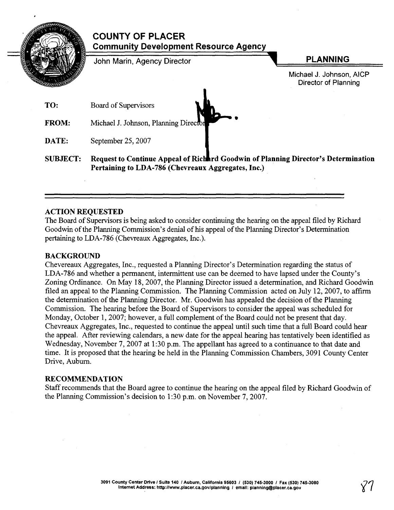

# **ACTION REQUESTED**

The Board of Supervisors is being asked to consider continuing the hearing on the appeal filed by Richard Goodwin of the Planning Commission's denial of his appeal of the Planning Director's Determination pertaining to LDA-786 (Chevreaux Aggregates, Inc.).

## **BACKGROUND**

Chevereaux Aggregates, Inc., requested a Planning Director's Determination regarding the status of LDA-786 and whether a permanent, intermittent use can be deemed to have lapsed under the County's Zoning Ordinance. On May 18,2007, the Planning Director issued a determination, and Richard Goodwin filed an appeal to the Planning Commission. The Planning Commission acted on July 12,2007, to affirm the determination of the Planning Director. Mr. Goodwin has appealed the decision of the Planning Commission. The hearing before the Board of Supervisors to consider the appeal was scheduled for Monday, October 1, 2007; however, a full complement of the Board could not be present that day. Chevreaux Aggregates, Inc., requested to continue the appeal until such time that a full Board could hear the appeal. After reviewing calendars, a new date for the appeal hearing has tentatively been identified as Wednesday, November 7,2007 at 1:30 p.m. The appellant has agreed to a continuance to that date and time. It is proposed that the hearing be held in the Planning Commission Chambers, 3091 County Center Drive, Auburn.

### **RECOMMENDATION**

Staff recommends that the Board agree to continue the hearing on the appeal filed by Richard Goodwin of the Planning Commission's decision to 1:30 p.m. on November 7,2007.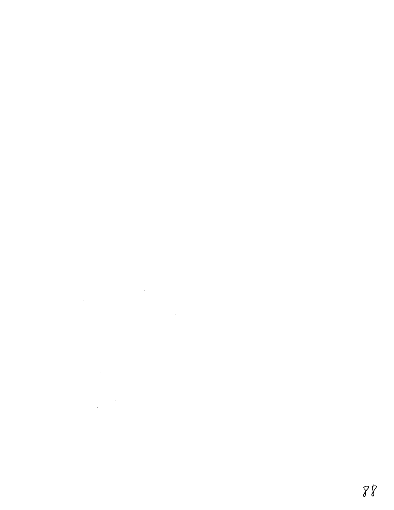$\label{eq:2.1} \frac{1}{\sqrt{2}}\left(\frac{1}{\sqrt{2}}\right)^{2} \left(\frac{1}{\sqrt{2}}\right)^{2} \left(\frac{1}{\sqrt{2}}\right)^{2} \left(\frac{1}{\sqrt{2}}\right)^{2} \left(\frac{1}{\sqrt{2}}\right)^{2} \left(\frac{1}{\sqrt{2}}\right)^{2} \left(\frac{1}{\sqrt{2}}\right)^{2} \left(\frac{1}{\sqrt{2}}\right)^{2} \left(\frac{1}{\sqrt{2}}\right)^{2} \left(\frac{1}{\sqrt{2}}\right)^{2} \left(\frac{1}{\sqrt{2}}\right)^{2} \left(\$ 

 $\label{eq:2.1} \frac{1}{\sqrt{2\pi}}\int_{0}^{\infty}\frac{1}{\sqrt{2\pi}}\left(\frac{1}{\sqrt{2\pi}}\right)^{2\alpha} \frac{1}{\sqrt{2\pi}}\frac{1}{\sqrt{2\pi}}\int_{0}^{\infty}\frac{1}{\sqrt{2\pi}}\frac{1}{\sqrt{2\pi}}\frac{1}{\sqrt{2\pi}}\frac{1}{\sqrt{2\pi}}\frac{1}{\sqrt{2\pi}}\frac{1}{\sqrt{2\pi}}\frac{1}{\sqrt{2\pi}}\frac{1}{\sqrt{2\pi}}\frac{1}{\sqrt{2\pi}}\frac{1}{\sqrt{2\pi}}\frac{$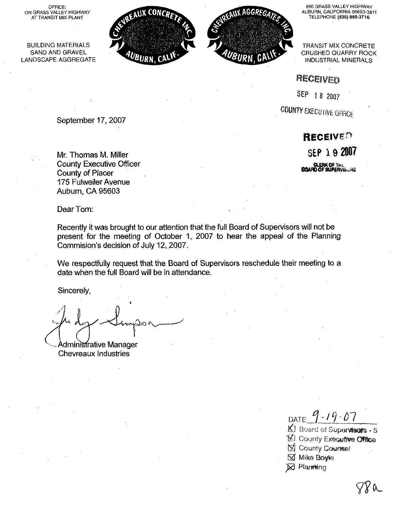OFFICE: ON GRASS VALLEY HIGHWAY AT TRANSIT MIX PLANT

**BUILDING MATERIALS** SAND AND GRAVEL **LANDSCAPE AGGREGATE** 





890 GRASS VALLEY HIGHWAY AUBURN, CALIFORNIA 95603-3811 TELEPHONE (530) 885-3716

**TRANSIT MIX CONCRETE** CRUSHED QUARRY ROCK INDUSTRIAL MINERALS

# RECEIVED

SEP 18 2007

**COUNTY EXECUTIVE OFFICE** 

**RECEIVE? SEP 19 2007 OLERK OF THE**<br>AND OF SUPERVISHES

September 17,2007

Mr. Thomas M. Miller County Executive Officer County of Placer 175 Fulweiler Avenue Auburn, CA 95603

Dear Tom:

Recently it was brought to our attention that the full Board of Supervisors will not be present for the meeting of October 1, 2007 to hear the appeal of the Planning Commision's decision of July 12,2007.

We respectfully request that the Board of Supervisors reschedule their meeting to a date when the full Board will be in attendance.

Sincerely,

Administrative Manager

Chevreaux lndustries

 $\frac{6}{10}$  Board of Supervisors - 5<sup>6</sup>

 $\boxtimes$  County Executive Office  $\boxtimes$  County Counsel a **Mike byte**   $\boxtimes$  Plarwing